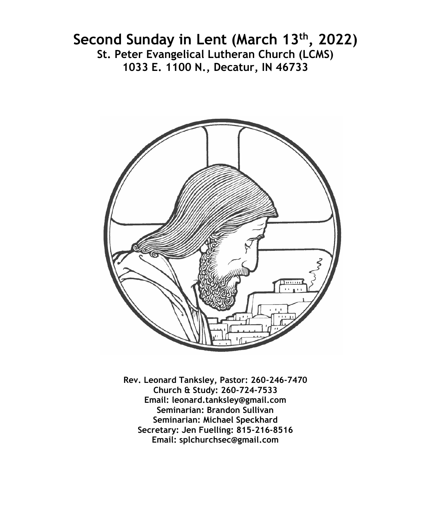# **Second Sunday in Lent (March 13th, 2022) St. Peter Evangelical Lutheran Church (LCMS) 1033 E. 1100 N., Decatur, IN 46733**



**Rev. Leonard Tanksley, Pastor: 260-246-7470 Church & Study: 260-724-7533 Email: leonard.tanksley@gmail.com Seminarian: Brandon Sullivan Seminarian: Michael Speckhard Secretary: Jen Fuelling: 815-216-8516 Email: splchurchsec@gmail.com**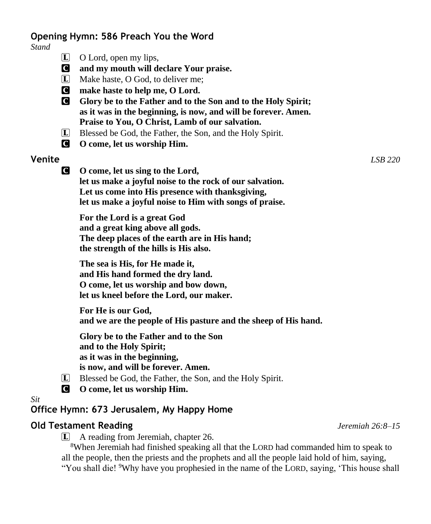#### **Opening Hymn: 586 Preach You the Word**

*Stand*

- $\Box$  O Lord, open my lips,
- C **and my mouth will declare Your praise.**
- L Make haste, O God, to deliver me;
- C **make haste to help me, O Lord.**
- C **Glory be to the Father and to the Son and to the Holy Spirit; as it was in the beginning, is now, and will be forever. Amen. Praise to You, O Christ, Lamb of our salvation.**
- L Blessed be God, the Father, the Son, and the Holy Spirit.
- C **O come, let us worship Him.**

#### **Venite** *LSB 220*

C **O come, let us sing to the Lord, let us make a joyful noise to the rock of our salvation. Let us come into His presence with thanksgiving, let us make a joyful noise to Him with songs of praise.**

**For the Lord is a great God and a great king above all gods. The deep places of the earth are in His hand; the strength of the hills is His also.**

**The sea is His, for He made it, and His hand formed the dry land. O come, let us worship and bow down, let us kneel before the Lord, our maker.**

**For He is our God, and we are the people of His pasture and the sheep of His hand.**

**Glory be to the Father and to the Son and to the Holy Spirit; as it was in the beginning, is now, and will be forever. Amen.**

- L Blessed be God, the Father, the Son, and the Holy Spirit.
- C **O come, let us worship Him.**

*Sit*

#### **Office Hymn: 673 Jerusalem, My Happy Home**

#### **Old Testament Reading** *Jeremiah 26:8–15*

L A reading from Jeremiah, chapter 26.

<sup>8</sup>When Jeremiah had finished speaking all that the LORD had commanded him to speak to all the people, then the priests and the prophets and all the people laid hold of him, saying, "You shall die! <sup>9</sup>Why have you prophesied in the name of the LORD, saying, 'This house shall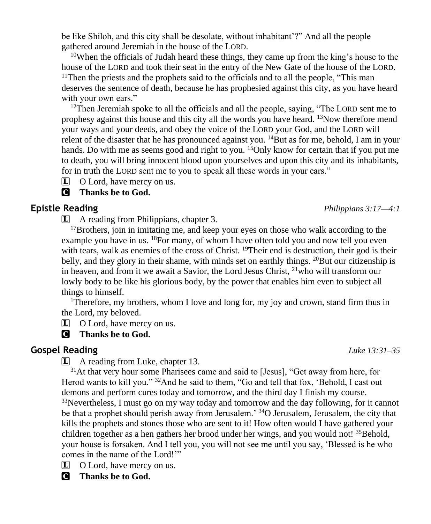be like Shiloh, and this city shall be desolate, without inhabitant'?" And all the people gathered around Jeremiah in the house of the LORD.

<sup>10</sup>When the officials of Judah heard these things, they came up from the king's house to the house of the LORD and took their seat in the entry of the New Gate of the house of the LORD.  $11$ Then the priests and the prophets said to the officials and to all the people, "This man deserves the sentence of death, because he has prophesied against this city, as you have heard with your own ears."

<sup>12</sup>Then Jeremiah spoke to all the officials and all the people, saying, "The LORD sent me to prophesy against this house and this city all the words you have heard. <sup>13</sup>Now therefore mend your ways and your deeds, and obey the voice of the LORD your God, and the LORD will relent of the disaster that he has pronounced against you.  $14$ But as for me, behold, I am in your hands. Do with me as seems good and right to you. <sup>15</sup>Only know for certain that if you put me to death, you will bring innocent blood upon yourselves and upon this city and its inhabitants, for in truth the LORD sent me to you to speak all these words in your ears."

 $\Box$  O Lord, have mercy on us.

## C **Thanks be to God.**

# **Epistle Reading** *Philippians 3:17—4:1*

L A reading from Philippians, chapter 3.

<sup>17</sup>Brothers, join in imitating me, and keep your eyes on those who walk according to the example you have in us.  $^{18}$ For many, of whom I have often told you and now tell you even with tears, walk as enemies of the cross of Christ. <sup>19</sup>Their end is destruction, their god is their belly, and they glory in their shame, with minds set on earthly things.  $^{20}$ But our citizenship is in heaven, and from it we await a Savior, the Lord Jesus Christ,  $21$ who will transform our lowly body to be like his glorious body, by the power that enables him even to subject all things to himself.

<sup>1</sup>Therefore, my brothers, whom I love and long for, my joy and crown, stand firm thus in the Lord, my beloved.

L O Lord, have mercy on us.

# C **Thanks be to God.**

# **Gospel Reading** *Luke 13:31–35*

L A reading from Luke, chapter 13.

<sup>31</sup>At that very hour some Pharisees came and said to [Jesus], "Get away from here, for Herod wants to kill you." <sup>32</sup>And he said to them, "Go and tell that fox, 'Behold, I cast out demons and perform cures today and tomorrow, and the third day I finish my course. <sup>33</sup>Nevertheless, I must go on my way today and tomorrow and the day following, for it cannot be that a prophet should perish away from Jerusalem.' <sup>34</sup>O Jerusalem, Jerusalem, the city that kills the prophets and stones those who are sent to it! How often would I have gathered your children together as a hen gathers her brood under her wings, and you would not! <sup>35</sup>Behold, your house is forsaken. And I tell you, you will not see me until you say, 'Blessed is he who comes in the name of the Lord!'"

 $\Box$  O Lord, have mercy on us.

C **Thanks be to God.**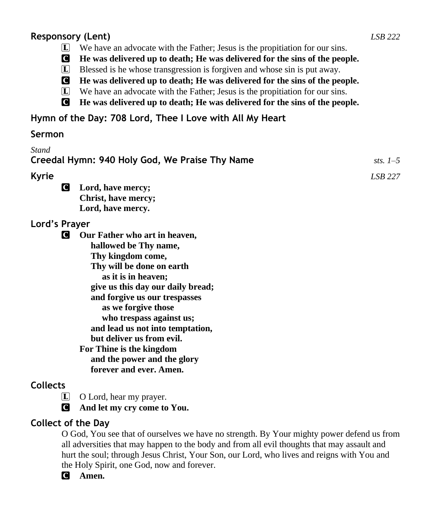## **Responsory (Lent)** *LSB 222*

- L We have an advocate with the Father; Jesus is the propitiation for our sins.
- C **He was delivered up to death; He was delivered for the sins of the people.**
- L Blessed is he whose transgression is forgiven and whose sin is put away.
- C **He was delivered up to death; He was delivered for the sins of the people.**
- L We have an advocate with the Father; Jesus is the propitiation for our sins.
- C **He was delivered up to death; He was delivered for the sins of the people.**

# **Hymn of the Day: 708 Lord, Thee I Love with All My Heart**

### **Sermon**

| <b>Stand</b>                                                                                                                                                                                                                                                                                                                                                                                                         |            |
|----------------------------------------------------------------------------------------------------------------------------------------------------------------------------------------------------------------------------------------------------------------------------------------------------------------------------------------------------------------------------------------------------------------------|------------|
| Creedal Hymn: 940 Holy God, We Praise Thy Name                                                                                                                                                                                                                                                                                                                                                                       | sts. $1-5$ |
| <b>Kyrie</b>                                                                                                                                                                                                                                                                                                                                                                                                         | LSB 227    |
| <b>C</b><br>Lord, have mercy;<br>Christ, have mercy;<br>Lord, have mercy.                                                                                                                                                                                                                                                                                                                                            |            |
| Lord's Prayer                                                                                                                                                                                                                                                                                                                                                                                                        |            |
| Our Father who art in heaven,<br>С<br>hallowed be Thy name,<br>Thy kingdom come,<br>Thy will be done on earth<br>as it is in heaven;<br>give us this day our daily bread;<br>and forgive us our trespasses<br>as we forgive those<br>who trespass against us;<br>and lead us not into temptation,<br>but deliver us from evil.<br>For Thine is the kingdom<br>and the power and the glory<br>forever and ever. Amen. |            |
| <b>Collects</b>                                                                                                                                                                                                                                                                                                                                                                                                      |            |

L O Lord, hear my prayer.

C **And let my cry come to You.**

# **Collect of the Day**

O God, You see that of ourselves we have no strength. By Your mighty power defend us from all adversities that may happen to the body and from all evil thoughts that may assault and hurt the soul; through Jesus Christ, Your Son, our Lord, who lives and reigns with You and the Holy Spirit, one God, now and forever.

C **Amen.**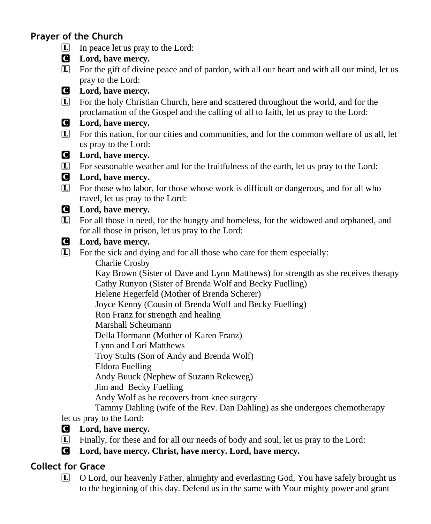# **Prayer of the Church**

- $\boxed{\mathbf{L}}$  In peace let us pray to the Lord:
- C **Lord, have mercy.**
- L For the gift of divine peace and of pardon, with all our heart and with all our mind, let us pray to the Lord:

# C **Lord, have mercy.**

L For the holy Christian Church, here and scattered throughout the world, and for the proclamation of the Gospel and the calling of all to faith, let us pray to the Lord:

## C **Lord, have mercy.**

L For this nation, for our cities and communities, and for the common welfare of us all, let us pray to the Lord:

### C **Lord, have mercy.**

L For seasonable weather and for the fruitfulness of the earth, let us pray to the Lord:

## C **Lord, have mercy.**

L For those who labor, for those whose work is difficult or dangerous, and for all who travel, let us pray to the Lord:

### C **Lord, have mercy.**

L For all those in need, for the hungry and homeless, for the widowed and orphaned, and for all those in prison, let us pray to the Lord:

### C **Lord, have mercy.**

 $\Box$  For the sick and dying and for all those who care for them especially:

Charlie Crosby

 Kay Brown (Sister of Dave and Lynn Matthews) for strength as she receives therapy Cathy Runyon (Sister of Brenda Wolf and Becky Fuelling)

Helene Hegerfeld (Mother of Brenda Scherer)

Joyce Kenny (Cousin of Brenda Wolf and Becky Fuelling)

Ron Franz for strength and healing

Marshall Scheumann

Della Hormann (Mother of Karen Franz)

Lynn and Lori Matthews

Troy Stults (Son of Andy and Brenda Wolf)

Eldora Fuelling

Andy Buuck (Nephew of Suzann Rekeweg)

Jim and Becky Fuelling

Andy Wolf as he recovers from knee surgery

 Tammy Dahling (wife of the Rev. Dan Dahling) as she undergoes chemotherapy let us pray to the Lord:

### C **Lord, have mercy.**

- L Finally, for these and for all our needs of body and soul, let us pray to the Lord:
- C **Lord, have mercy. Christ, have mercy. Lord, have mercy.**

# **Collect for Grace**

L O Lord, our heavenly Father, almighty and everlasting God, You have safely brought us to the beginning of this day. Defend us in the same with Your mighty power and grant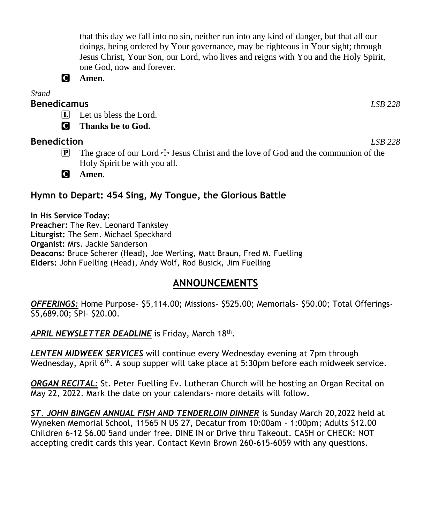that this day we fall into no sin, neither run into any kind of danger, but that all our doings, being ordered by Your governance, may be righteous in Your sight; through Jesus Christ, Your Son, our Lord, who lives and reigns with You and the Holy Spirit, one God, now and forever.



*Stand*

#### **Benedicamus** *LSB 228*

 $\Box$  Let us bless the Lord.

C **Thanks be to God.**

### **Benediction** *LSB 228*

**P** The grace of our Lord  $\pm$  Jesus Christ and the love of God and the communion of the Holy Spirit be with you all.

C **Amen.**

# **Hymn to Depart: 454 Sing, My Tongue, the Glorious Battle**

**In His Service Today: Preacher:** The Rev. Leonard Tanksley **Liturgist:** The Sem. Michael Speckhard **Organist:** Mrs. Jackie Sanderson **Deacons:** Bruce Scherer (Head), Joe Werling, Matt Braun, Fred M. Fuelling **Elders:** John Fuelling (Head), Andy Wolf, Rod Busick, Jim Fuelling

# **ANNOUNCEMENTS**

*OFFERINGS:* Home Purpose- \$5,114.00; Missions- \$525.00; Memorials- \$50.00; Total Offerings- \$5,689.00; SPI- \$20.00.

*LENTEN MIDWEEK SERVICES* will continue every Wednesday evening at 7pm through Wednesday, April 6<sup>th</sup>. A soup supper will take place at 5:30pm before each midweek service.

*ORGAN RECITAL:* St. Peter Fuelling Ev. Lutheran Church will be hosting an Organ Recital on May 22, 2022. Mark the date on your calendars- more details will follow.

*ST. JOHN BINGEN ANNUAL FISH AND TENDERLOIN DINNER* is Sunday March 20,2022 held at Wyneken Memorial School, 11565 N US 27, Decatur from 10:00am – 1:00pm; Adults \$12.00 Children 6-12 \$6.00 5and under free. DINE IN or Drive thru Takeout. CASH or CHECK: NOT accepting credit cards this year. Contact Kevin Brown 260-615-6059 with any questions.

APRIL NEWSLETTER DEADLINE is Friday, March 18<sup>th</sup>.